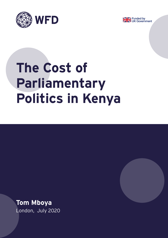



# **The Cost of Parliamentary Politics in Kenya**



**Tom Mboya** London, July 2020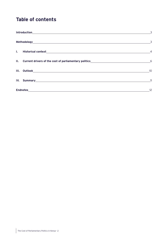# **Table of contents**

|  |  | $\overline{3}$           |
|--|--|--------------------------|
|  |  | $\overline{\phantom{a}}$ |
|  |  |                          |
|  |  |                          |
|  |  | 10                       |
|  |  | 11                       |
|  |  | 12                       |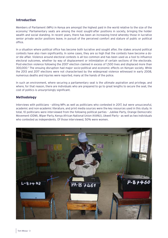# <span id="page-2-0"></span>**Introduction**

Members of Parliament (MPs) in Kenya are amongst the highest paid in the world relative to the size of the economy.1 Parliamentary seats are among the most sought-after positions in society, bringing the holder wealth and social standing. In recent years, there has been an increasing trend whereby those in lucrative senior private sector positions leave, in pursuit of the perceived comfort and stature of public or political office.

In a situation where political office has become both lucrative and sought after, the stakes around political contests have also risen significantly. In some cases, they are so high that the contests have become a door-die affair. Violence around electoral contests is all too common and has been used as a tool to influence electoral outcomes, whether by way of displacement or intimidation of certain sections of the electorate. Post-election violence following the 2007 election claimed in excess of 1,500 lives and displaced more than 300,000.2 The ensuing disruption had major socio-political and economic effects on Kenyan society. While the 2013 and 2017 elections were not characterised by the widespread violence witnessed in early 2008, numerous deaths and injuries were reported, many at the hands of the police.

In such an environment, where securing a parliamentary seat is the ultimate aspiration and privilege, and where, for that reason, there are individuals who are prepared to go to great lengths to secure the seat, the cost of politics is unsurprisingly significant.

## **Methodology**

Interviews with politicians - sitting MPs as well as politicians who contested in 2017, but were unsuccessful, academic and non-academic literature, and print media sources were the key resources used in this study. In total, 10 politicians were interviewed from the following political parties - Jubilee Party, Orange Democratic Movement (ODM), Wiper Party, Kenya African National Union (KANU), Ukweli Party - as well as two individuals who contested as independents. Of those interviewed, 50% were women.

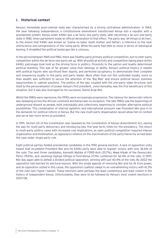# <span id="page-3-0"></span>**I. Historical context**

Kenya's immediate post-colonial state was characterised by a strong centralised administration. In 1964, the year following independence, a constitutional amendment transformed Kenya into a republic with a presidential system. Kenya under KANU was a de facto one party state, later becoming a de jure one-party state in 1982, when parliament made an official declaration to that effect. The party was 'all things to all men', to the extent that KANU was known as 'mama na baba' (both mother and father), a reference to the near omniscience and omnipresence of the ruling party. While the party had little to show in terms of ideological leaning, it straddled the political landscape like a colossus.

In the period between 1969 and 1982, there was healthy party primary political competition, but no inter-party competition within the de facto one-party set up. With all political activity and competition taking place within KANU, patronage took hold as the driving force in politics. Proximity to the patron and loyalty determined political standing. This was of far greater value than ideology or ability. Kenya's political history is replete with political figures who sacrificed their dignity, and perfected sycophancy to demonstrate their complete and unwavering loyalty to the party and party leader. More often than not this undivided loyalty, more so than wealth, was sufficient to secure the attention of the 'Big Man' and ensure political favour, business opportunities or cabinet positions. The politics of the day, coupled with the one-party state structure, lent itself to the personalisation of power. Kenya's first president, Jomo Kenyatta, was the first beneficiary of this situation, but it was also leveraged by his successor, Daniel Arap Moi.

Whilst the 1980s were repressive, the 1990s were increasingly progressive. The clamour for democratic reform was sweeping across the African continent and Kenya was no exception. The late 1980s saw the beginnings of underground dissent as people, both individually and collectively, beginning to consider alternative political possibilities. This combination of internal agitation and international pressure saw President Moi give in to the demands for political reform in Kenya. But the new multi-party dispensation would allow him to contest and serve two more terms as president.

In 1991, Section 2A of the Constitution was repealed by the Constitution of Kenya (Amendment) Act, paving the way for multi-party democracy and introducing two, five-year term, limits for the presidency. The return to multi-party politics came with increased cost implications, as open political competition required intense organisation and mobilisation, as opposed to reliance on the machinations of the party hierarchy as had been the case under single party rule.

Eight political parties fielded presidential candidates in the 1992 general election. A lack of opposition unity meant that incumbent President Moi and his KANU party were able to register victory with only 36.6% of the vote. The next three candidates, Kenneth Matiba of FORD-Asili (25.7%), Mwai Kibaki of the Democratic Party (19.6%), and Jaramogi Oginga Odinga of Ford-Kenya (17.1%) combined for 62.4% of the vote. In 1997, Moi was again able to defeat a divided political opposition, winning with just 40.4% of the vote. By 2002 the opposition had learned its electoral lessons. With the single agenda of removing Moi and his ilk from power, and an opposition united in this cause, the opposition coalition swept to an overwhelming victory with 61.3% of the vote (see Figure 1 below). These elections were perhaps the least contentious and least violent in the history of independent Kenya. Unfortunately, they were to be followed by Kenya's most violent elections in 2007-08.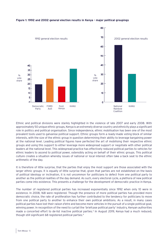

#### **Figure 1: 1992 and 2002 general election results in Kenya - major political groupings**

Ethnic and political divisions were starkly highlighted in the violence of late 2007 and early 2008. With approximately 50 unique ethnic groups, Kenya is an extremely diverse country and ethnicity plays a significant role in politics and political organisation. Since independence, ethnic mobilisation has been one of the most prevalent tools used to galvanise political support. Ethnic groups form a ready-made voting block of similar interests, with the size of the ethnic group in question determining their ability to leverage bargaining power at the national level. Leading political figures have perfected the art of mobilising their respective ethnic groups and using this support to either leverage more widespread support or negotiate with other political leaders at the national level. This widespread practice has effectively reduced political parties to vehicles for ethnic leaders to ascend to political power, ostensibly acting on behalf of their ethnic groups. This political culture creates a situation whereby issues of national or local interest often take a back seat to the ethnic arithmetic of the day.

It is therefore of little surprise, that the parties that enjoy the most support are those associated with the larger ethnic groups. It is equally of little surprise that, given that parties are not established on the basis of political ideology or inclination, it is not uncommon for politicians to defect from one political party to another as the political realities of the day demand. As such, every electoral cycle, a plethora of new political parties come into existence. This presents a challenge for the development of democratic practice in Kenya.

The number of registered political parties has increased exponentially since 1992 when only 10 were in existence. In 2008, 168 were registered. Though the presence of more political parties has provided more democratic choice, the rate of proliferation has further contributed to the tendency for politicians to move from one political party to another to enhance their own political ambitions. As a result, in many cases political parties have lost their *raison d'etre* and become mere vehicles in the pursuit of a single political goal, winning power. In recognition of the need to curtail the 'briefcase political party' industry, Kenyan authorities made a concerted effort to de-list inactive political parties.<sup>3</sup> In August 2019, Kenya had a much reduced, though still significant 68 registered political parties.4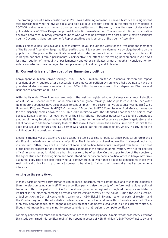<span id="page-5-0"></span>The promulgation of a new constitution in 2010 was a defining moment in Kenya's history and a significant step towards resolving the myriad social and political injustices that resulted in the outbreak of violence in 2007-08. Hailed as one of the most progressive constitutions in the world, it was the result of decades of political debate. 68.5% of Kenyans approved its adoption in a referendum. The new constitutional dispensation devolved powers to 47 newly created counties who were to be governed by a host of new elective positions: County Governors, Senators, Women's Representatives and Members of the County Assembly.

With six elective positions available in each county - if you include the votes for the President and members of the National Assembly - larger political parties sought to secure their dominance by piggy-backing on the popularity of the presidential candidate to seek all six elective seats in a particular county: a six-piece suit in Kenyan parlance. From a parliamentary perspective, the effect of this voting phenomenon in 2017 was less interrogation of the quality of parliamentary and other candidates: a more important consideration for voters was whether they belonged to their preferred political party and its leader.5

# **II. Current drivers of the cost of parliamentary politics**

Kenya spent 70 billion Kenyan shillings (KSh) (US\$ 686 million) on the 2017 general election and repeat presidential poll - required after a successful Supreme Court petition by runner-up Raila Odinga to have the presidential election results annulled. Around 85% of this figure was given to the Independent Electoral and Boundaries Commission (IEBC).6

With slightly under 20 million registered voters, the cost per registered voter of Kenya's most recent election was US\$25.40, second only to Papua New Guinea in global rankings, whose polls cost US\$63 per voter. Neighbouring countries have all been able to conduct much more cost-effective elections: Rwanda (US\$1.05), Uganda (US\$4), and Tanzania (US\$5.16 per voter).<sup>7</sup> According to IEBC Commissioner Abdi Guliye, the reason for this disparity comes down to trust. In a 2017 interview with The Standard newspaper he opined that because Kenyans do not trust each other or their institutions, it becomes necessary to spend a tremendous amount of money to bridge the trust deficit. This comes in the form of expensive electronic gadgetry, and a ballot paper with additional security features that make it more secure than some currencies.<sup>8</sup> Despite these additional security features, the IEBC server was hacked during the 2017 election, which, in part, led to the nullification of the presidential results.

Elections themselves are expensive exercises but so too is aspiring for political office. Political culture plays a significant role in determining the cost of politics. The inflated costs of seeking election in Kenya do not exist in a vacuum. Rather, they are the product of social and political behaviours developed over time. The onset of the political process for any aspiring political candidate is the question of motivation. Why run for political office? In some cases, it might be a burning desire to be of service. On the opposite side of the spectrum, the egocentric need for recognition and social standing that accompanies political office in Kenya may drive aspirants' bids. There are also those who fall somewhere in between these opposing dimensions; those who seek political office for its proximity to power to be able to further their personal as well as community interests.

#### **Getting on the party ticket**

In many parts of Kenya party primaries can be more important, more competitive, and thus more expensive than the election campaign itself. Where a political party is also the party of the foremost regional political leader, and thus the party of choice for the ethnic group or a regional stronghold, being a candidate on its ticket in the election campaign provides almost certain victory at the ballot. During the 2017 election, a Jubilee ticket in Central Kenya or Rift Valley, or an ODM ticket in Nyanza region or parts of Western and the Coastal region proffered a distinct advantage on the holder and were thus fiercely contested. These ethnically homogeneous, or stronghold, regions present a democratic challenge, as it is extremely difficult, though not impossible, for a minority group candidate in that region to compete politically.

For many political aspirants, the real competition lies at the primary phase. A majority of those interviewed for this study confirmed this 'political reality'. Half spent in excess of KSh 15 million (US\$147,000)<sup>9</sup> just to try and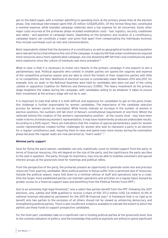get on the ballot paper, with a number admitting to spending more at the primary phase than at the election phase. One individual interviewed spent KSh 25 million (US\$245,000). Of this formal filing fees constituted a nominal expense, while branded campaign materials were a top expense for all concerned. Some other major costs incurred at the primaries phase included mobilisation costs - fuel, logistics, security, roadshows and rallies - and payment of campaign teams. Depending on the dynamics and location of a constituency, campaign teams can constitute a major cost given that apart from compensating the individuals involved, they include overheads such as rent and communications.

Most respondents stated that the dynamics of a constituency as well as geographical location and population were relevant factors that influence the cost of the campaign. A majority felt that urban constituencies required more resources and a more sophisticated campaign, but one dissenting MP felt that rural constituencies were more expensive since the culture of handouts was more prevalent.<sup>10</sup>

What is clear is that it is necessary to invest very heavily in the primary campaign if one expects to win a parliamentary seat. Political aspirants who contest in smaller parties are spared the vagaries and expense of the competitive primaries season and are able to clinch the tickets of their respective parties with little or no competition, but their likelihood of electoral success is considerably lower. Between 2013 and 2017, for example, only six seats in the National Assembly were held by candidates who were not part of the ruling Jubilee or opposition Coalition for Reforms and Democracy (CORD). The heavy investment at the primary stage heightens the stakes during the campaign, with candidates willing to do whatever it takes to ensure their investment at the primary stage will not be in vain.

It is important to note that while it is both difficult and expensive for candidates to get on the party ticket, this challenge is further exacerbated for women candidates. The importance of the candidate selection process for women cannot be overstated. While trends indicate an increase in the number of women in elective positions, the numbers still fall short of Kenya's constitutional requirement of one-third. Whilst the rationale behind the creation of the women's representative position - at the county level - may have been noble in terms of enhancing women's representation, it may have inadvertently produced undesirable results. According to a 2015 report, 'there are indications that the creation of special parliamentary seats for women county representatives created further challenges for women who wish to represent a party in an election for a regular constituency seat, requiring them to raise and spend even more money during the nomination phase because the regular seats are now perceived as "men's seats"'.<sup>11</sup>

#### **Minimal party support**

Save for flying the party banner, candidates can only realistically count on limited support from the party. In terms of financial resources, this will depend on the size of the party, and the significance the party ascribes to the seat in question. The party, through its machinery, may only be able to mobilise volunteers and special interest groups at the grassroots level for meetings and political rallies.

From the perspective of the party, the primaries present an opportunity to generate some rare and precious resources from aspiring candidates. Most political parties in Kenya suffer from a perennial lack of resources. Outside the political season, many fold down to a minimal retinue of staff and operations slow to a crawl. Only the larger, more established parties can maintain operations and activities on a regular basis, buoyed by greater access to a financial support base and benefiting from the Political Parties Fund (PPF).

Due to an extremely high legal threshold,<sup>12</sup> only a select few parties benefit from the PPF. Following the 2017 elections, only Jubilee and ODM qualified to receive a share of KSh 371.2 million (US\$ 3.6 million) (0.3% of national revenue) allocated by parliament for the 2017-18 financial year.13 A framework that is so rigid as to benefit only two parties to the exclusion of all others should not be viewed as enhancing democracy and strengthening political parties. There is also insufficient evidence available to indicate the extent to which the parties use these funds to support prospective candidates.

For the most part, candidates take on a significant role in funding political parties at the grassroots level. Due to the commercialisation of politics, and the knowledge that political aspirants are willing to spend significant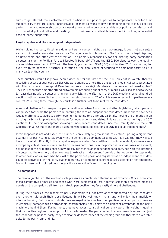sums to get elected, the electorate expect politicians and political parties to compensate them for their support. It is, therefore, almost inconceivable for most Kenyans to pay a membership fee to join a political party. In practice, membership cards are usually purchased in bulk by a candidate or political benefactor and distributed at political rallies and meetings. It is considered a worthwhile investment in building a potential base of 'party' supporters.

#### **Legal disputes and the challenge of independents**

While holding the party ticket in a dominant party context might be an advantage, it does not guarantee victory, or indeed an easy electoral victory. Two significant hurdles remain. The first surrounds legal disputes; an unwelcome and often costly distraction. The primary responsibility for adjudicating party nomination disputes falls on the Political Parties Disputes Tribunal (PPDT) and the IEBC. 306 disputes over the legality of candidates were filed in 2017, with the two biggest parties - ODM (160) and Jubilee (76)14 - accounting for over two-thirds of those. A further illustration of the significance of securing the dominant party ticket in many parts of the country.

These numbers would likely have been higher, but for the fact that the PPDT only sat in Nairobi, thereby restricting access of aggrieved parties who were unable to afford the transport and logistical costs associated with filing a dispute in the capital. Remote counties such as Wajir, Mandera and Lamu recorded zero disputes.<sup>15</sup> The PPDT spent three months attending to complaints arising out of party primaries, while it also had to spend ten days dealing with disputes arising from party lists. In the aftermath of the 2017 elections, several hundred election petitions were filed across the various elective seats, 125 of which were in respect of parliamentary contests.16 Settling these through the courts is a further cost to be met by the candidates.

A second challenge for prospective party candidates arises from poorly drafted legislation, which permits vanquished foes from the primaries re-entering the race as independent candidates. While there have been laudable attempts to address party-hopping - defecting to a different party after losing the primaries in an existing party - a loophole was left open for independent candidates. This was exploited during the 2017 elections. In the first widespread showing of independent candidates since the promulgation of the 2010 Constitution 3,752 out of the 15,082 aspirants who contested elections in 2017 did so as independents.17

If this loophole is not addressed, the number is only likely to grow in future elections, posing a significant quandary for party candidates. Even with the benefit of a dominant party ticket, it is likely that they will still have to invest significantly in the campaign, especially when faced with a strong independent, who may carry a sympathy vote if the electorate feel he or she was hard done by in the primaries. In some cases, an aspirant, having lost at the primaries phase, may quickly register as an independent candidate, not with the intention of contesting the election, but as leverage to extract an inducement from his or her opponent to step aside. In other cases, an aspirant who has lost at the primaries phase and registered as an independent candidate could be 'convinced' by the party leader, hierarchy or competing aspirant to set aside his or her ambitions. Many of these behind closed doors interactions carry significant cost implications.

#### **The campaigns**

The campaign phase of the election cycle presents a completely different set of dynamics. While those who faced competitive primaries and those who were subjected to less rigorous selection processes meet as equals on the campaign trail, from a strategic perspective they face vastly different challenges.

During the primaries, the respective party leadership will not have openly supported any one candidate over another, although their close lieutenants will be well known to all and will enjoy their implicit or informal backing. But once individuals have emerged victorious from competitive dominant party primaries in ethnically homogenous or stronghold constituencies, they enjoy the significant advantage of the party machinery behind them. Furthermore, they have access to a political currency worth its weight in gold in their respective regions: the support of the party leader. The party leader, in many cases, is more than just the leader of the political party: they are also the de facto leader of the ethnic group and therefore a veritable deity to the party rank and file.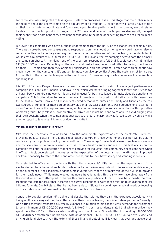For those who were subjected to less rigorous selection processes, it is at this stage that the rubber meets the road. Without the ability to ride on the popularity of a strong party leader, they will largely have to rely on their own efforts to coordinate and fund campaigns. Smaller parties, short on resources, are unlikely to be able to offer much support in this regard. In 2017 some candidates of smaller parties strategically pledged their support for a dominant party presidential candidate in the hope of benefiting from the call for six-piece voting.

But even for candidates who have a public endorsement from the party or the leader, costs remain high. There was a broad-based consensus among respondents on the amount of money one would have to raise to run an effective parliamentary campaign. At the more conservative end of the spectrum, respondents felt it would cost a minimum of KSh 20 million (US\$196,000) to run an effective campaign across both the primary and campaign phase. At the higher end of the spectrum, respondents felt that it could cost KSh 35 million (US\$343,000) or more. Reflecting on these costs, almost all respondents admitted to having spent more on their 2017 campaigns than they originally anticipated, with one stating: 'I prefer not to think about how much I spent on the campaigns. It's enough to make you give up politics'.18 And the costs are set to rise yet further. Half of the respondents expected to spend more in future campaigns, whilst none would contemplate spending less.

It is difficult for many Kenyans to secure the resources required to mount this kind of campaign. A parliamentary campaign is a significant financial endeavour, one which warrants bringing together family and friends for a 'harambee' - a fundraising event. It is also not unusual for business leaders to make sizeable donations to campaigns. This is often done to protect their own interests or to be used to build alliances with those close to the seat of power. However, all respondents cited personal resources and family and friends as the top two sources of funding for their parliamentary bids. In a few cases, aspirants were creative: one resorted to crowdfunding to raise the required resources, while another leveraged personal connections with supportive women's groups. Regardless of how creative or driven one might be, none were able to avoid digging into their own pockets. When the campaign budget was stretched, one aspirant was forced to sell a vehicle, while another opted to take a bank loan to bridge the shortfall.

#### **Voters expect 'something' in return**

MPs have the unenviable task of living up to the monumental expectations of the electorate. Given the prevailing political culture, there is the expectation that MPs or those vying for the position will be able to resolve a myriad of problems facing their constituents. These range from individual needs, such as sustenance and medical care, to community needs such as schools, health centres and roads. This first occurs on the campaign trail but the expectation that MPs will provide for individual and community needs continues when in office. In fact, once elected it increases as the expectation of the voter is that the MP has an improved ability and capacity to cater to these and other needs, due to their hefty salary and standing in society.

Once elected to office and complete with the title 'Honourable', MPs find that the expectations of the electorate can be a tremendous burden. While parliamentarians may intend to focus considerable energy on the fulfilment of their legislative agenda, most voters feel that the primary role of their MP is to provide for their basic needs. While many elected members have lamented this reality, few have shied away from the model, or actively attempted to change this regressive political culture. Of these basic needs, the most frequent requests for assistance, according to survey respondents, were those relating to education, medical bills and funerals. One MP stated that he had been able to mitigate his spending on medical needs by focusing on the establishment of new medical facilities all over his constituency.

Contrary to popular opinion, MPs opine that despite the salaries they earn, the expenses associated with being in office are so great that they often exceed their income, leaving many in a state of perpetual 'poverty'. One sitting member estimated his weekly expenses in relation to his constituents demands for assistance to be a minimum of KSh200,000 per week (US\$1,960).<sup>19</sup> Most respondents stated that while in office, they spent more than 100% of their salaries meeting constituent needs. One admitted to spending KSh500,000 (US\$4,900) per month on funerals alone, with an additional KSh150,000 (US\$1,470) outlaid every weekend on church fundraisers. Given the extent of these financial outgoings it is clear that over and above their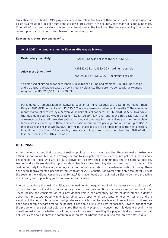<span id="page-9-0"></span>legislative responsibilities, MPs play a social welfare role in the lives of their constituents. This is a gap that exists as a result of a lack of a sufficient social welfare system in the country. With many MPs outlaying most, if not all, of their entire salary to meet constituent needs, the likelihood that they are willing to engage in corrupt practices, in order to supplement their income, grows.

#### **Kenyan legislators: pay and benefits**

| As of 2017 the remuneration for Kenyan MPs was as follows: |                                                                                                        |  |
|------------------------------------------------------------|--------------------------------------------------------------------------------------------------------|--|
| <b>Basic salary (monthly)</b>                              | 621,250 Kenyan shillings (KSh) or US\$6,100                                                            |  |
| Allowances (monthly)*                                      | KSh852,033 or US\$8,400 - maximum possible<br>KSh299,163 or US\$2,900 <sup>20</sup> - minimum possible |  |

\* Comprised of sitting allowances (chair KSh8,000 per sitting and member KSh5,000 per sitting) and a transport allowance based on constituency distance. There are five zones with allowances ranging from KSh266,663 to KSh738,833.

Parliamentary remuneration in Kenya is substantial. MPs' salaries are 98.6 times higher than Kenya's 2018 GDP per capita of US\$1,793.28 There are generous retirement benefits.29 The minimum monthly amount received by a Kenyan MP (salary plus allowances) is KSh920,413 (US\$9,204), while the maximum possible would be KSh1,473,283 (US\$14,733). Over and above this basic salary and allowance package, MPs are also entitled to medical coverage for themselves and their immediate family, life insurance up to three times the basic remunerative package and a loan of up to KSh 7 million Kenyan shillings (US\$69,000) for the purchase of a car, to be repaid prior to the next election. In addition to the title of 'Honourable', these are also important to consider given that 59% of MPs lost their seats in the 2017 elections.30

### **III. Outlook**

All respondents agreed that the cost of seeking political office is rising, and that the costs make it extremely difficult, if not impossible, for the average person to seek political office. Getting into politics is increasingly challenging for those who are led by a conviction to serve their communities and the national interest. Women and youth are also disproportionately disenfranchised from key decision-making structures, as high costs effectively lock these large demographics out of representation in mainstream politics. Although there have been improvements since the introduction of the 2010 Constitution women still only account for 23% of the seats in the National Assembly and Senate.<sup>21</sup> It is incumbent upon political parties to be more proactive in nurturing and supporting youth and women candidates.

In order to address the cost of politics, and indeed gender inequalities, it will be necessary to explore a raft of constitutional, political and parliamentary reforms and interventions that are more just and inclusive. These include the consideration of a presidential versus parliamentary system of government; a debate about the first-past-the-post winner takes all versus proportional representation election system; and the viability of the constitutional one-third gender rule, which is yet to be achieved. In recent months, there has been considerable debate among the political class about just such a reform package. However the fact that the proponents are political actors ensures that healthy scepticism concerning this debate prevails; with questions asked as to whether it will be done with a view to levelling the playing field and ensuring that politics is less about money and commercial interests, or whether the aim is to reinforce the status quo.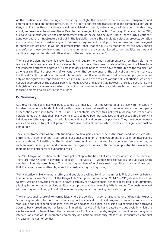<span id="page-10-0"></span>At the political level, the findings of this study highlight the need for a holistic, open, transparent, and enforceable campaign finance infrastructure in order to address the transactional and commercial nature of Kenyan politics. As these practices are well-established and deeply entrenched, it will take considerable time, effort, and resources to address them. Despite the passage of the Election Campaign Financing Act in 2013, due to various technicalities, the commencement date of the Act was delayed, until after the 2017 elections.<sup>22</sup> Long overdue, the infrastructure set out in the legislation covers the candidate selection process, donation and spending limits, bookkeeping and disclosure requirements and provides for mechanisms designed to enforce regulations.23 It will be of utmost importance that the IEBC, as mandated by the Act, upholds and enforces these provisions and that the requirements are communicated to both political parties and candidates aspiring for elected office ahead of the next election cycle.<sup>24</sup>

The larger problem, however, is systemic, and will require more than parliamentary or political reforms to resolve. It has taken decades of political evolution to arrive at the current state of affairs, and it will take time and concerted efforts to address it. All stakeholders in the political cycle have contributed to the malaise. For as long as significant proportions of Kenyans rely on the 'benevolence' of the political class for their survival, it will be difficult to eradicate the handouts-for-votes practice. A continuous civic education programme not only on the rights and responsibilities of citizens, but also on the roles of various political officials, which are not well understood by the general public, is needed. Over and above that, however, there is a need for Kenya to legislate for a social welfare system to cushion the most vulnerable in society, such that they do not need to turn to elected politicians in times of need.

# **IV. Summary**

As a result of the costs involved, politics tends to primarily attract the well-to-do and those with the capacity to raise the requisite funds. Political parties have increased dramatically in number since the multi-party dispensation came into force in 1991. But it is debatable whether this political pluralism has reaped any notable democratic dividends. Many political parties have been personalised and are associated more with individuals or ethnic groups, than with ideological or political pursuits or positions. They have become mere vehicles to ascend to political power: a regressive political culture which comes at a significant cost to democracy.

The current framework, where state funding for political parties only benefits the largest and most successful, entrenches the dominant party culture and excludes and inhibits the development of smaller political parties and candidates. But getting on the ticket of these dominant parties requires significant financial outlay. In such an environment, youth and women are the biggest casualties, with the main opportunities available to them being in peripheral or supporting roles.

The 2010 Kenya Constitution created more political opportunities, all of which come at a cost to the taxpayer. There are now 47 county governors, at least 47 senators, 47 women representatives, and at least 1,450 members of county assemblies.<sup>25</sup> The increasing numbers of aspirants seeking political office would suggest that the rewards are worthwhile, even if the costs are high, and growing.

'Political office is like winning a lottery and people are willing to kill or maim for it',<sup>26</sup> is the view of Patrick Lumumba, a former Director of the Kenya Anti-Corruption Commission. Whilst 'no MP gets rich from their salary'<sup>27</sup> was one view, the proximity to power certainly can have financial benefits according to Mr Lumumba, alluding to numerous unresolved political corruption scandals involving MPs in Kenya. The costs involved with seeking and holding political office in Kenya plays a part in fuelling political corruption.

The transactional nature of Kenyan politics, where the politician is seen as a benefactor, and the voter expects 'something' in return for his or her vote or support, is inimical to political progress. It serves to entrench the status quo and limits genuine political expression and debate. Political discussion is diminished and narrowed down to basic bread and butter issues of immediate survival. This has created a vicious cycle in which the electorate seek to benefit from the benevolence of politicians, thereby neglecting medium and long-term interventions that would guarantee community and national prosperity. Most of all, it ensures a continual increase in the cost of politics.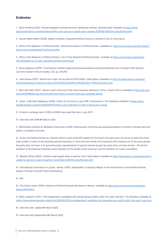# <span id="page-11-0"></span>**Endnotes**

1. David Herbling (2013). 'Kenyan legislators emerge second in global pay ranking'. Business Daily. Available at [https://www.](https://www.businessdailyafrica.com/news/Kenya-MPs-come-second-in-global-salary-ranking-/539546-1924534-au4ju3/index.html) [businessdailyafrica.com/news/Kenya-MPs-come-second-in-global-salary-ranking-/539546-1924534-au4ju3/index.html](https://www.businessdailyafrica.com/news/Kenya-MPs-come-second-in-global-salary-ranking-/539546-1924534-au4ju3/index.html)

2. Human Rights Watch (2008). Ballots to Bullets: Organized Political Violence & Kenya's Crisis of Governance.

3. Office of the Registrar of Political Parties, 'Historical Evolution of Political Parties'. Available at [https://www.orpp.or.ke/index.php/en/](https://www.orpp.or.ke/index.php/en/about-us/2-uncategorised/7-political-parties) [about-us/2-uncategorised/7-political-parties](https://www.orpp.or.ke/index.php/en/about-us/2-uncategorised/7-political-parties)

4. Office of the Registrar of Political Parties, 'List of Fully Registered Political Parties'. Available at [https://www.orpp.or.ke/images/](https://www.orpp.or.ke/images/UPLOADSpdf/List_of_fully_registered_political_parties.pdf) [UPLOADSpdf/List\\_of\\_fully\\_registered\\_political\\_parties.pdf](https://www.orpp.or.ke/images/UPLOADSpdf/List_of_fully_registered_political_parties.pdf)

5. Elena Gadjanova (2019). 'Treacherous coattails: gubernatorial endorsements and the presidential race in Kenya's 2017 election'. *Journal of Eastern African Studies.* 13:2. pp. 272-293

6. John Kamau (2017). 'Democracy's high cost as polls hit Sh70 billion', Daily Nation. Available at [https://mobile.nation.co.ke/news/](https://mobile.nation.co.ke/news/politics/Spending-on-elections-rises-to-Sh70-billion/3126390-4195682-item-1-1151ny2z/nation.co.ke) [politics/Spending-on-elections-rises-to-Sh70-billion/3126390-4195682-item-1-1151ny2z/nation.co.ke](https://mobile.nation.co.ke/news/politics/Spending-on-elections-rises-to-Sh70-billion/3126390-4195682-item-1-1151ny2z/nation.co.ke)

7. Abdi Latif Dahir (2017). 'Kenya is set to hold one of the most expensive elections in Africa.' Quartz Africa. Available at [https://qz.com/](https://qz.com/africa/1030958/kenyas-elections-will-cost-1-billion-in-government-and-campaign-spend/) [africa/1030958/kenyas-elections-will-cost-1-billion-in-government-and-campaign-spend/](https://qz.com/africa/1030958/kenyas-elections-will-cost-1-billion-in-government-and-campaign-spend/)

8. Guliye in Michael Chepkwony (2018). 'Voters do not trust us, says IEBC Commissioner' The Standard. Available at [https://www.](https://www.standardmedia.co.ke/article/2001299334/why-cost-of-elections-is-high-in-kenya-iebc-reveals) [standardmedia.co.ke/article/2001299334/why-cost-of-elections-is-high-in-kenya-iebc-reveals](https://www.standardmedia.co.ke/article/2001299334/why-cost-of-elections-is-high-in-kenya-iebc-reveals)

9. A historic exchange rate of US\$1 to KSh102 was used (the rate in July 2017).

10. Interview with ODM MP, March 2020.

11. Netherlands Institute for Multiparty Democracy (2015). Political party financing and equal participation of women in Kenyan electoral politics: A situation overview.

12. As per the Political Parties Act (Section 25(2)) a party shall NOT qualify for the fund if: the party does not secure at least 3% of the total number of votes at the preceding general elections; or more than two-thirds of its registered office bearers are of the same gender; the party does not have, in its governing body, representation of special interest groups; the party does not have at least - 20 elected members of the National Assembly, three members of the Senate, three Governors and 40 members of County Assemblies.

13. Wanjohi Githae (2020). 'Jubilee to get largest share of parties' fund.' Daily Nation. Available at [https://www.nation.co.ke/news/politics/](https://www.nation.co.ke/news/politics/Jubilee-to-get-lion-s-share-of-parties--fund/1064-4309474-w2kg78/index.html) [Jubilee-to-get-lion-s-share-of-parties--fund/1064-4309474-w2kg78/index.html](https://www.nation.co.ke/news/politics/Jubilee-to-get-lion-s-share-of-parties--fund/1064-4309474-w2kg78/index.html)

14. International Commission of Jurists – Kenya. (2019). Stakeholders' Evaluation Report on the Performance of the Political Parties Dispute Tribunal in the 2017 Party Nominations.

15. Ibid

16. The Carter Center (2019). 'Analysis of Electoral Dispute Resolution in Kenya.' Available at [https://www.cartercenter.org/news/pr/](https://www.cartercenter.org/news/pr/kenya-041519.html) [kenya-041519.html](https://www.cartercenter.org/news/pr/kenya-041519.html)

17. Betty Chepkorir (2017). 'How Independent candidates will change Kenya's politics after this year's election.' The Standard. Available at <https://www.standardmedia.co.ke/article/2001241272/how-independent-candidates-will-change-kenya-s-politics-after-this-year-s-elections>

18. Interview with Jubilee MP, March 2020.

19. Interview with Independent MP, March 2020.